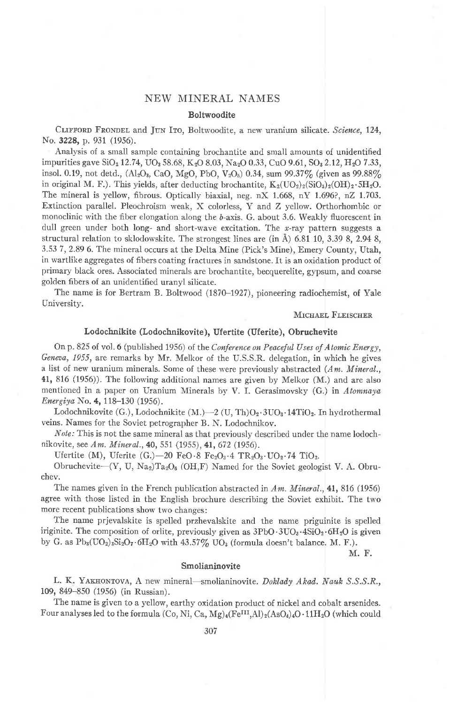# NEW MINERAL NAMES

### Boltwoodite

CLIFFORD FRONDEL and JUN ITO, Boltwoodite, a new uranium silicate. Science, 124, No. 3228, p. 931 (1956).

Analysis of a small sample containing brochantite and small amounts of unidentified impurities gave SiO<sub>2</sub> 12.74, UO<sub>3</sub> 58.68, K<sub>2</sub>O 8.03, Na<sub>2</sub>O 0.33, CuO 9.61, SO<sub>3</sub> 2.12, H<sub>2</sub>O 7.33, insol. 0.19, not detd., (Al<sub>2</sub>O<sub>3</sub>, CaO, MgO, PbO, V<sub>2</sub>O<sub>6</sub>) 0.34, sum 99.37% (given as 99.88%) in original M. F.). This yields, after deducting brochantite,  $K_2(\text{UO}_2)_2(\text{SiO}_3)_2(\text{OH})_2 \cdot \text{SH}_2\text{O}$ . The mineral is yellow, fibrous. Optically biaxial, neg. nX 1.668, nY 1.696?, nZ 1.703. Extinction parallel. Pleochroism weak, X colorless, Y and Z yellow. Orthorhombic or monoclinic with the fiber elongation along the b-axis. G. about 3.6. Weakly fluorescent in dull green under both long- and short-wave excitation. The  $x$ -ray pattern suggests a structural relation to sklodowskite. The strongest lines are (in  $\AA$ ) 6.81 10, 3.39 8, 2.94 8, 3.53 7,2.89 6. The mineral occurs at the Delta Mine (Pick's Mine), Emery County, Utah, in wartlike aggregates of fibers coating fractures in sandstone. It is an oxidation product of primary black ores. Associated minerals are brochantite, becquerelite, gypsum, and coarse golden fibers of an unidentified uranyl silicate.

The name is for Bertram B. Boltwood (1870-1927), pioneering radiochemist, of Yale University.

#### MICHAEL FLEISCHER

# Lodochnikite (Lodochnikovite), Ufertite (Uferite), Obruchevite

On p. 825 of vol. 6 (published 1956) of the Conference on Peaceful Uses of Atomic Energy, Geneaa, 1955, are remarks by Mr. Melkor of the U.S.S.R. delegation, in which he gives a list of new uranium minerals. Some of these were previously abstracted  $(Am.$  Mineral., 41, 816 (1956)). The following additional names are given by Melkor (M.) and are also mentioned in a paper on Uranium Minerals by V. I. Gerasimovsky (G.) in Atomnaya Energiya No. 4, 118-130  $(1956)$ .

Lodochnikovite (G.), Lodochnikite (M.)-2 (U, Th)O<sub>2</sub> . 3UO<sub>3</sub> . 14TiO<sub>2</sub>. In hydrothermal veins. Names for the Soviet petrographer B. N. Lodochnikov.

*Note:* This is not the same mineral as that previously described under the name lodochnikovite, see Am. Mineral., 40, 551 (1955), 41, 672 (1956).

Ufertite (M), Uferite  $(G.)-20$  FeO.8  $Fe<sub>2</sub>O<sub>3</sub>·4 TR<sub>2</sub>O<sub>3</sub>·UO<sub>2</sub>·74 TiO<sub>2</sub>.$ 

Obruchevite- $(Y, U, Na<sub>2</sub>)Ta<sub>2</sub>O<sub>6</sub>$  (OH,F) Named for the Soviet geologist V. A. Obruchev.

The names given in the French publication abstracted in  $Am.$  Mineral., 41, 816 (1956) agree with those listed in the English brochure describing the Soviet exhibit. The two more recent publications show two changes:

The name prjevalskite is spelled przhevalskite and the name priguinite is spelled iriginite. The composition of orlite, previously given as  $3PbO \cdot 3UO_3 \cdot 4SiO_2 \cdot 6H_2O$  is given by G. as  $Pb_3(UO_2)_3Si_2O_7.6H_2O$  with  $43.57\%$  UO<sub>3</sub> (formula doesn't balance. M. F.).

M. F.

#### Smolianinovite

L. K. YAKHONTOVA, A new mineral—smolianinovite. Doklady Akad. Nauk S.S.S.R., 109, 849-850 (1956) (in Russian).

The name is given to a yellow, earthy oxidation product of nickel and cobalt arsenides. Four analyses led to the formula (Co, Ni, Ca, Mg)<sub>4</sub>(Fe<sup>III</sup>,Al)<sub>2</sub>(AsO<sub>4</sub>)<sub>4</sub>O·11H<sub>2</sub>O (which could